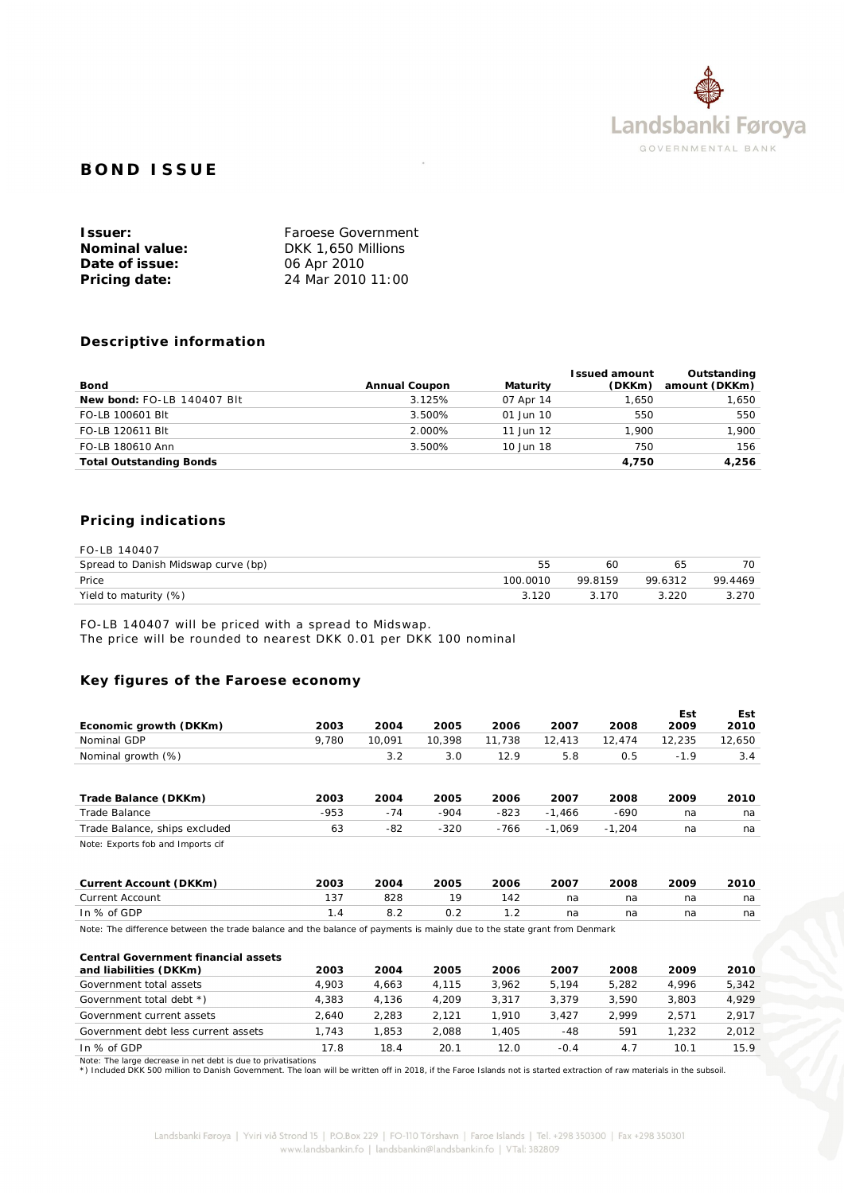

# **BOND ISSUE**

| Issuer:        | Faroese Government |
|----------------|--------------------|
| Nominal value: | DKK 1,650 Millions |
| Date of issue: | 06 Apr 2010        |
| Pricing date:  | 24 Mar 2010 11:00  |

## **Descriptive information**

| Bond                           | Annual Coupon | Maturity      | I ssued amount<br>(DKKm) | Outstanding<br>amount (DKKm) |
|--------------------------------|---------------|---------------|--------------------------|------------------------------|
| New bond: FO-LB 140407 Blt     | 3.125%        | 07 Apr 14     | 1.650                    | 1,650                        |
| FO-LB 100601 Blt               | 3.500%        | $01$ Jun $10$ | 550                      | 550                          |
| FO-LB 120611 Blt               | 2.000%        | 11 Jun 12     | 1.900                    | 1.900                        |
| FO-LB 180610 Ann               | 3.500%        | 10 Jun 18     | 750                      | 156                          |
| <b>Total Outstanding Bonds</b> |               |               | 4.750                    | 4.256                        |

# **Pricing indications**

| FO-LB 140407                        |          |         |         |         |
|-------------------------------------|----------|---------|---------|---------|
| Spread to Danish Midswap curve (bp) |          | 60      | 65      | 70      |
| Price                               | 100.0010 | 99 8159 | 99 6312 | 99.4469 |
| Yield to maturity (%)               | 3.120    | 3 170   | 3.220   | 3.270   |

FO-LB 140407 will be priced with a spread to Midswap.

The price will be rounded to nearest DKK 0.01 per DKK 100 nominal

# **Key figures of the Faroese economy**

|                                                                                                                          |        |        |        |        |          |          | Est    | Est    |
|--------------------------------------------------------------------------------------------------------------------------|--------|--------|--------|--------|----------|----------|--------|--------|
| Economic growth (DKKm)                                                                                                   | 2003   | 2004   | 2005   | 2006   | 2007     | 2008     | 2009   | 2010   |
| Nominal GDP                                                                                                              | 9,780  | 10,091 | 10,398 | 11,738 | 12,413   | 12,474   | 12,235 | 12,650 |
| Nominal growth (%)                                                                                                       |        | 3.2    | 3.0    | 12.9   | 5.8      | 0.5      | $-1.9$ | 3.4    |
|                                                                                                                          |        |        |        |        |          |          |        |        |
| Trade Balance (DKKm)                                                                                                     | 2003   | 2004   | 2005   | 2006   | 2007     | 2008     | 2009   | 2010   |
| Trade Balance                                                                                                            | $-953$ | $-74$  | $-904$ | $-823$ | $-1,466$ | $-690$   | na     | na     |
| Trade Balance, ships excluded                                                                                            | 63     | $-82$  | $-320$ | $-766$ | $-1,069$ | $-1,204$ | na     | na     |
| Note: Exports fob and Imports cif                                                                                        |        |        |        |        |          |          |        |        |
| Current Account (DKKm)                                                                                                   | 2003   | 2004   | 2005   | 2006   | 2007     | 2008     | 2009   | 2010   |
| <b>Current Account</b>                                                                                                   | 137    | 828    | 19     | 142    | na       | na       | na     | na     |
| In % of GDP                                                                                                              | 1.4    | 8.2    | 0.2    | 1.2    | na       | na       | na     | na     |
| Note: The difference between the trade balance and the balance of payments is mainly due to the state grant from Denmark |        |        |        |        |          |          |        |        |
| Central Government financial assets<br>and liabilities (DKKm)                                                            | 2003   | 2004   | 2005   | 2006   | 2007     | 2008     | 2009   | 2010   |
| Government total assets                                                                                                  | 4,903  | 4,663  | 4,115  | 3,962  | 5,194    | 5,282    | 4,996  | 5,342  |
| Government total debt *)                                                                                                 | 4,383  | 4,136  | 4,209  | 3,317  | 3,379    | 3,590    | 3,803  | 4,929  |
| Government current assets                                                                                                | 2.640  | 2,283  | 2,121  | 1,910  | 3,427    | 2,999    | 2,571  | 2,917  |
| Government debt less current assets                                                                                      | 1,743  | 1,853  | 2,088  | 1,405  | $-48$    | 591      | 1,232  | 2,012  |

In % of GDP 17.8 18.4 20.1 12.0 -0.4 4.7 10.1 15.9

Note: The large decrease in net debt is due to privatisations<br>\*) Included DKK 500 million to Danish Government. The loan will be written off in 2018, if the Faroe Islands not is started extraction of raw materials in the s